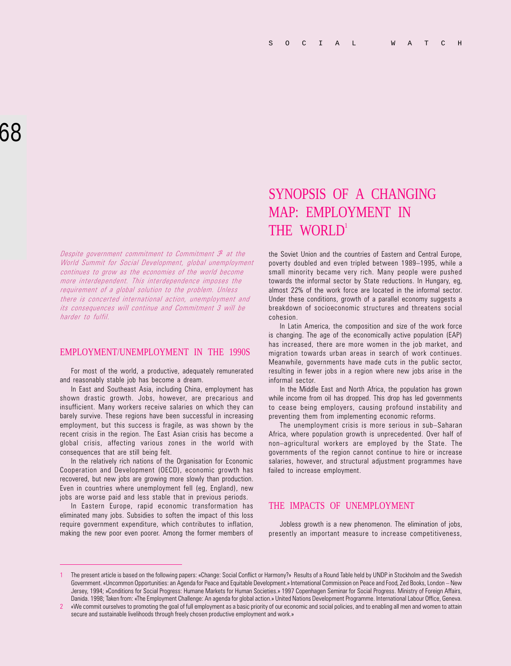Despite government commitment to Commitment  $\mathcal{F}$  at the World Summit for Social Development, global unemployment continues to grow as the economies of the world become more interdependent. This interdependence imposes the requirement of a global solution to the problem. Unless there is concerted international action, unemployment and its consequences will continue and Commitment 3 will be harder to fulfil.

#### EMPLOYMENT/UNEMPLOYMENT IN THE 1990S

For most of the world, a productive, adequately remunerated and reasonably stable job has become a dream.

In East and Southeast Asia, including China, employment has shown drastic growth. Jobs, however, are precarious and insufficient. Many workers receive salaries on which they can barely survive. These regions have been successful in increasing employment, but this success is fragile, as was shown by the recent crisis in the region. The East Asian crisis has become a global crisis, affecting various zones in the world with consequences that are still being felt.

In the relatively rich nations of the Organisation for Economic Cooperation and Development (OECD), economic growth has recovered, but new jobs are growing more slowly than production. Even in countries where unemployment fell (eg, England), new jobs are worse paid and less stable that in previous periods.

In Eastern Europe, rapid economic transformation has eliminated many jobs. Subsidies to soften the impact of this loss require government expenditure, which contributes to inflation, making the new poor even poorer. Among the former members of

# SYNOPSIS OF A CHANGING MAP: EMPLOYMENT IN THE WORLD'

the Soviet Union and the countries of Eastern and Central Europe, poverty doubled and even tripled between 1989-1995, while a small minority became very rich. Many people were pushed towards the informal sector by State reductions. In Hungary, eg, almost 22% of the work force are located in the informal sector. Under these conditions, growth of a parallel economy suggests a breakdown of socioeconomic structures and threatens social cohesion.

In Latin America, the composition and size of the work force is changing. The age of the economically active population (EAP) has increased, there are more women in the job market, and migration towards urban areas in search of work continues. Meanwhile, governments have made cuts in the public sector, resulting in fewer jobs in a region where new jobs arise in the informal sector.

In the Middle East and North Africa, the population has grown while income from oil has dropped. This drop has led governments to cease being employers, causing profound instability and preventing them from implementing economic reforms.

The unemployment crisis is more serious in sub-Saharan Africa, where population growth is unprecedented. Over half of non-agricultural workers are employed by the State. The governments of the region cannot continue to hire or increase salaries, however, and structural adjustment programmes have failed to increase employment.

### THE IMPACTS OF UNEMPLOYMENT

Jobless growth is a new phenomenon. The elimination of jobs, presently an important measure to increase competitiveness,

<sup>1</sup> The present article is based on the following papers: «Change: Social Conflict or Harmony?» Results of a Round Table held by UNDP in Stockholm and the Swedish Government. «Uncommon Opportunities: an Agenda for Peace and Equitable Development.» International Commission on Peace and Food, Zed Books, London – New Jersey, 1994; »Conditions for Social Progress: Humane Markets for Human Societies.» 1997 Copenhagen Seminar for Social Progress. Ministry of Foreign Affairs, Danida. 1998; Taken from: «The Employment Challenge: An agenda for global action.» United Nations Development Programme. International Labour Office, Geneva.

<sup>2</sup> «We commit ourselves to promoting the goal of full employment as a basic priority of our economic and social policies, and to enabling all men and women to attain secure and sustainable livelihoods through freely chosen productive employment and work.»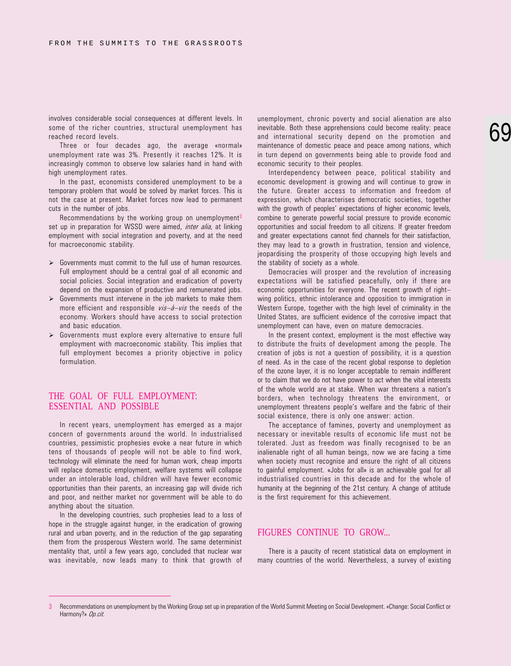involves considerable social consequences at different levels. In some of the richer countries, structural unemployment has reached record levels.

Three or four decades ago, the average «normal» unemployment rate was 3%. Presently it reaches 12%. It is increasingly common to observe low salaries hand in hand with high unemployment rates.

In the past, economists considered unemployment to be a temporary problem that would be solved by market forces. This is not the case at present. Market forces now lead to permanent cuts in the number of jobs.

Recommendations by the working group on unemployment<sup>3</sup> set up in preparation for WSSD were aimed. *inter alia*, at linking employment with social integration and poverty, and at the need for macroeconomic stability.

- $\triangleright$  Governments must commit to the full use of human resources. Full employment should be a central goal of all economic and social policies. Social integration and eradication of poverty depend on the expansion of productive and remunerated jobs.
- $\triangleright$  Governments must intervene in the job markets to make them more efficient and responsible  $vis-\partial - vis$  the needs of the economy. Workers should have access to social protection and basic education.
- $\triangleright$  Governments must explore every alternative to ensure full employment with macroeconomic stability. This implies that full employment becomes a priority objective in policy formulation.

#### THE GOAL OF FULL EMPLOYMENT: ESSENTIAL AND POSSIBLE

In recent years, unemployment has emerged as a major concern of governments around the world. In industrialised countries, pessimistic prophesies evoke a near future in which tens of thousands of people will not be able to find work, technology will eliminate the need for human work, cheap imports will replace domestic employment, welfare systems will collapse under an intolerable load, children will have fewer economic opportunities than their parents, an increasing gap will divide rich and poor, and neither market nor government will be able to do anything about the situation.

In the developing countries, such prophesies lead to a loss of hope in the struggle against hunger, in the eradication of growing rural and urban poverty, and in the reduction of the gap separating them from the prosperous Western world. The same determinist mentality that, until a few years ago, concluded that nuclear war was inevitable, now leads many to think that growth of

unemployment, chronic poverty and social alienation are also inevitable. Both these apprehensions could become reality: peace and international security depend on the promotion and maintenance of domestic peace and peace among nations, which in turn depend on governments being able to provide food and economic security to their peoples.

Interdependency between peace, political stability and economic development is growing and will continue to grow in the future. Greater access to information and freedom of expression, which characterises democratic societies, together with the growth of peoples' expectations of higher economic levels. combine to generate powerful social pressure to provide economic opportunities and social freedom to all citizens. If greater freedom and greater expectations cannot find channels for their satisfaction, they may lead to a growth in frustration, tension and violence, jeopardising the prosperity of those occupying high levels and the stability of society as a whole.

Democracies will prosper and the revolution of increasing expectations will be satisfied peacefully, only if there are economic opportunities for everyone. The recent growth of right wing politics, ethnic intolerance and opposition to immigration in Western Europe, together with the high level of criminality in the United States, are sufficient evidence of the corrosive impact that unemployment can have, even on mature democracies.

In the present context, employment is the most effective way to distribute the fruits of development among the people. The creation of jobs is not a question of possibility, it is a question of need. As in the case of the recent global response to depletion of the ozone layer, it is no longer acceptable to remain indifferent or to claim that we do not have power to act when the vital interests of the whole world are at stake. When war threatens a nation's borders, when technology threatens the environment, or unemployment threatens people's welfare and the fabric of their social existence, there is only one answer: action.

The acceptance of famines, poverty and unemployment as necessary or inevitable results of economic life must not be tolerated. Just as freedom was finally recognised to be an inalienable right of all human beings, now we are facing a time when society must recognise and ensure the right of all citizens to gainful employment. «Jobs for all» is an achievable goal for all industrialised countries in this decade and for the whole of humanity at the beginning of the 21st century. A change of attitude is the first requirement for this achievement.

#### FIGURES CONTINUE TO GROW...

There is a paucity of recent statistical data on employment in many countries of the world. Nevertheless, a survey of existing

<sup>3</sup> Recommendations on unemployment by the Working Group set up in preparation of the World Summit Meeting on Social Development. «Change: Social Conflict or Harmony?» Op.cit.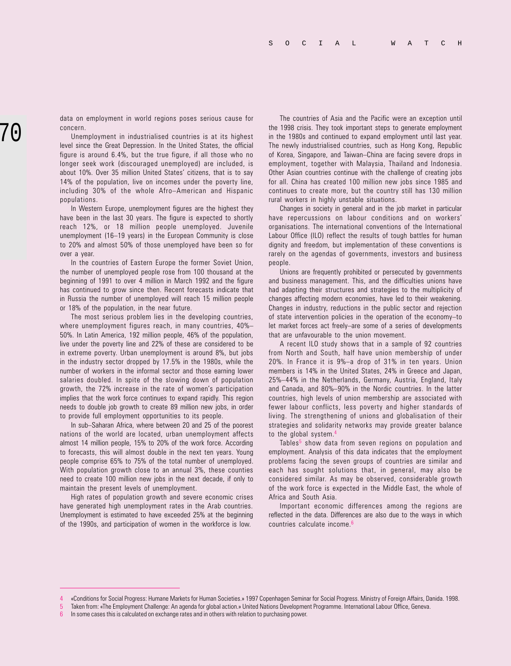data on employment in world regions poses serious cause for concern.

Unemployment in industrialised countries is at its highest level since the Great Depression. In the United States, the official figure is around 6.4%, but the true figure, if all those who no longer seek work (discouraged unemployed) are included, is about 10%. Over 35 million United States' citizens, that is to say 14% of the population, live on incomes under the poverty line, including 30% of the whole Afro-American and Hispanic populations.

In Western Europe, unemployment figures are the highest they have been in the last 30 years. The figure is expected to shortly reach 12%, or 18 million people unemployed. Juvenile unemployment (16-19 years) in the European Community is close to 20% and almost 50% of those unemployed have been so for over a year.

In the countries of Eastern Europe the former Soviet Union, the number of unemployed people rose from 100 thousand at the beginning of 1991 to over 4 million in March 1992 and the figure has continued to grow since then. Recent forecasts indicate that in Russia the number of unemployed will reach 15 million people or 18% of the population, in the near future.

The most serious problem lies in the developing countries, where unemployment figures reach, in many countries, 40% 50%. In Latin America, 192 million people, 46% of the population, live under the poverty line and 22% of these are considered to be in extreme poverty. Urban unemployment is around 8%, but jobs in the industry sector dropped by 17.5% in the 1980s, while the number of workers in the informal sector and those earning lower salaries doubled. In spite of the slowing down of population growth, the 72% increase in the rate of women's participation implies that the work force continues to expand rapidly. This region needs to double job growth to create 89 million new jobs, in order to provide full employment opportunities to its people.

In sub-Saharan Africa, where between 20 and 25 of the poorest nations of the world are located, urban unemployment affects almost 14 million people, 15% to 20% of the work force. According to forecasts, this will almost double in the next ten years. Young people comprise 65% to 75% of the total number of unemployed. With population growth close to an annual 3%, these counties need to create 100 million new jobs in the next decade, if only to maintain the present levels of unemployment.

High rates of population growth and severe economic crises have generated high unemployment rates in the Arab countries. Unemployment is estimated to have exceeded 25% at the beginning of the 1990s, and participation of women in the workforce is low.

The countries of Asia and the Pacific were an exception until the 1998 crisis. They took important steps to generate employment in the 1980s and continued to expand employment until last year. The newly industrialised countries, such as Hong Kong, Republic of Korea, Singapore, and Taiwan-China are facing severe drops in employment, together with Malaysia, Thailand and Indonesia. Other Asian countries continue with the challenge of creating jobs for all. China has created 100 million new jobs since 1985 and continues to create more, but the country still has 130 million rural workers in highly unstable situations.

Changes in society in general and in the job market in particular have repercussions on labour conditions and on workers organisations. The international conventions of the International Labour Office (ILO) reflect the results of tough battles for human dignity and freedom, but implementation of these conventions is rarely on the agendas of governments, investors and business people.

Unions are frequently prohibited or persecuted by governments and business management. This, and the difficulties unions have had adapting their structures and strategies to the multiplicity of changes affecting modern economies, have led to their weakening. Changes in industry, reductions in the public sector and rejection of state intervention policies in the operation of the economy-to let market forces act freely-are some of a series of developments that are unfavourable to the union movement.

A recent ILO study shows that in a sample of 92 countries from North and South, half have union membership of under  $20\%$ . In France it is  $9\%$ -a drop of  $31\%$  in ten years. Union members is 14% in the United States, 24% in Greece and Japan, 25%44% in the Netherlands, Germany, Austria, England, Italy and Canada, and 80%-90% in the Nordic countries. In the latter countries, high levels of union membership are associated with fewer labour conflicts, less poverty and higher standards of living. The strengthening of unions and globalisation of their strategies and solidarity networks may provide greater balance to the global system.<sup>4</sup>

Tables<sup>5</sup> show data from seven regions on population and employment. Analysis of this data indicates that the employment problems facing the seven groups of countries are similar and each has sought solutions that, in general, may also be considered similar. As may be observed, considerable growth of the work force is expected in the Middle East, the whole of Africa and South Asia.

Important economic differences among the regions are reflected in the data. Differences are also due to the ways in which countries calculate income.6

<sup>4</sup> «Conditions for Social Progress: Humane Markets for Human Societies.» 1997 Copenhagen Seminar for Social Progress. Ministry of Foreign Affairs, Danida. 1998.

<sup>5</sup> Taken from: «The Employment Challenge: An agenda for global action.» United Nations Development Programme. International Labour Office, Geneva.

<sup>6</sup> In some cases this is calculated on exchange rates and in others with relation to purchasing power.